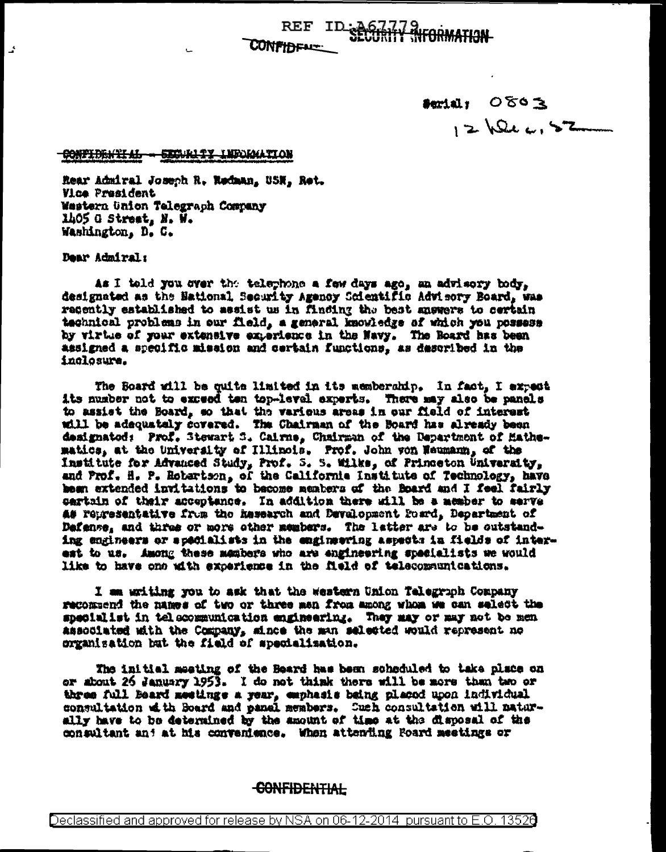**CONFIDENCE** 

serial, OTOE  $12\sqrt{244152}$ 

## <del>Confidential = Eigunity Indomation</del>

Rear Admiral Joseph R. Rodman, USN. Ret. **Vice President** Western Union Telegraph Company 1405 G Street, N. W. Washington, D. C.

Dear Admiral:

ي<br>آهي

As I told you over the telephone a few days ago, an advisory body, designated as the National Security Agency Scientific Advisory Board, was recently established to assist us in finding the best answers to certain technical problems in our field, a general knowledge of which you possess by virtue of your extensive experience in the Navy. The Roard has been assigned a specific mission and certain functions, as described in the inclosure.

The Board will be quite limited in its memberahip. In fact, I expect its number not to exceed ten top-level experts. There may also be panels to assist the Board, so that the various areas in our field of interest will be adequately covered. The Chairman of the Board has already been designated: Prof. Stewart S. Calrne, Chairman of the Department of Hathematics, at the University of Illinois. Prof. John von Weumann, of the Institute for Advanced Study, Prof. 5. S. Wilks, of Princeton University, and Prof. H. P. Robartson, of the California Institute of Technology, have heen extended invitations to become members of the Board and I feel fairly sartain of their acceptence. In addition there will be a member to serve as representative from the hasearch and Development Foard, Department of Defense, and three or more other members. The latter are to be outstanding engineers or specialists in the engineering aspects in fields of interest to us. Among these members who are engineering specialists we would like to have one with excerience in the field of telecommunications.

I am writing you to ask that the western Union Telegraph Company recommend the names of two or three men from among whom we can select the specialist in telecommunication engineering. They may or may not be men associated with the Company, since the man selected would represent no organisation but the field of specialization.

The initial meating of the Beard has been scheduled to take place on or about 26 January 1953. I do not think there will be more than two or three full Beard meetings a year, emphasis being placed upon individual consultation of th Board and penel members. Such consultation will naturally have to be determined by the amount of time at the disposal of the consultant and at his convenience. When attending Foard meetings or

## <del>CONFIDENTIAL</del>